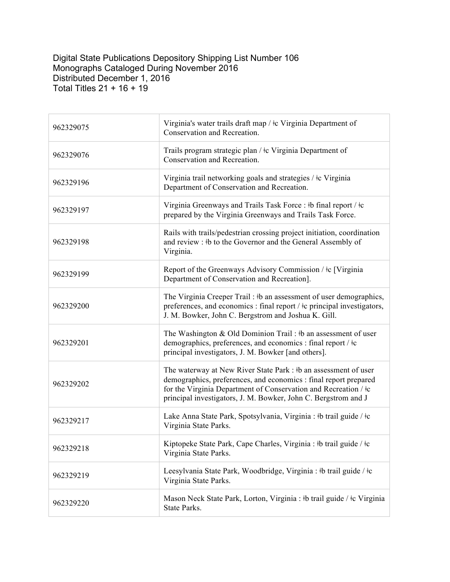## Digital State Publications Depository Shipping List Number 106 Monographs Cataloged During November 2016 Distributed December 1, 2016 Total Titles 21 + 16 + 19

| 962329075 | Virginia's water trails draft map / $\pm c$ Virginia Department of<br>Conservation and Recreation.                                                                                                                                                                                   |
|-----------|--------------------------------------------------------------------------------------------------------------------------------------------------------------------------------------------------------------------------------------------------------------------------------------|
| 962329076 | Trails program strategic plan / ‡c Virginia Department of<br>Conservation and Recreation.                                                                                                                                                                                            |
| 962329196 | Virginia trail networking goals and strategies / ‡c Virginia<br>Department of Conservation and Recreation.                                                                                                                                                                           |
| 962329197 | Virginia Greenways and Trails Task Force: #b final report / $\pm c$<br>prepared by the Virginia Greenways and Trails Task Force.                                                                                                                                                     |
| 962329198 | Rails with trails/pedestrian crossing project initiation, coordination<br>and review : #b to the Governor and the General Assembly of<br>Virginia.                                                                                                                                   |
| 962329199 | Report of the Greenways Advisory Commission / ‡c [Virginia<br>Department of Conservation and Recreation].                                                                                                                                                                            |
| 962329200 | The Virginia Creeper Trail: #b an assessment of user demographics,<br>preferences, and economics : final report / $\pm c$ principal investigators,<br>J. M. Bowker, John C. Bergstrom and Joshua K. Gill.                                                                            |
| 962329201 | The Washington & Old Dominion Trail: #b an assessment of user<br>demographics, preferences, and economics : final report / $\pm c$<br>principal investigators, J. M. Bowker [and others].                                                                                            |
| 962329202 | The waterway at New River State Park : #b an assessment of user<br>demographics, preferences, and economics : final report prepared<br>for the Virginia Department of Conservation and Recreation / $\frac{1}{2}c$<br>principal investigators, J. M. Bowker, John C. Bergstrom and J |
| 962329217 | Lake Anna State Park, Spotsylvania, Virginia : #b trail guide / #c<br>Virginia State Parks.                                                                                                                                                                                          |
| 962329218 | Kiptopeke State Park, Cape Charles, Virginia : #b trail guide / #c<br>Virginia State Parks.                                                                                                                                                                                          |
| 962329219 | Leesylvania State Park, Woodbridge, Virginia : #b trail guide / #c<br>Virginia State Parks.                                                                                                                                                                                          |
| 962329220 | Mason Neck State Park, Lorton, Virginia : #b trail guide / #c Virginia<br>State Parks.                                                                                                                                                                                               |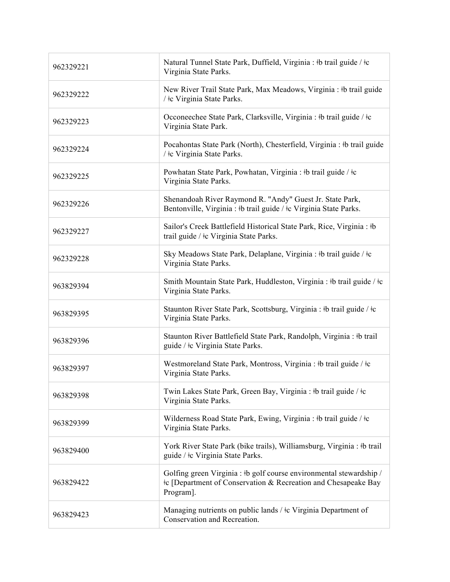| 962329221 | Natural Tunnel State Park, Duffield, Virginia : #b trail guide / #c<br>Virginia State Parks.                                                                   |
|-----------|----------------------------------------------------------------------------------------------------------------------------------------------------------------|
| 962329222 | New River Trail State Park, Max Meadows, Virginia : #b trail guide<br>/ ‡c Virginia State Parks.                                                               |
| 962329223 | Occoneechee State Park, Clarksville, Virginia : #b trail guide / $\pm$ c<br>Virginia State Park.                                                               |
| 962329224 | Pocahontas State Park (North), Chesterfield, Virginia : #b trail guide<br>/ ‡c Virginia State Parks.                                                           |
| 962329225 | Powhatan State Park, Powhatan, Virginia : #b trail guide / #c<br>Virginia State Parks.                                                                         |
| 962329226 | Shenandoah River Raymond R. "Andy" Guest Jr. State Park,<br>Bentonville, Virginia : #b trail guide / $\pm c$ Virginia State Parks.                             |
| 962329227 | Sailor's Creek Battlefield Historical State Park, Rice, Virginia : #b<br>trail guide / ‡c Virginia State Parks.                                                |
| 962329228 | Sky Meadows State Park, Delaplane, Virginia : #b trail guide / #c<br>Virginia State Parks.                                                                     |
| 963829394 | Smith Mountain State Park, Huddleston, Virginia : #b trail guide / $\pm c$<br>Virginia State Parks.                                                            |
| 963829395 | Staunton River State Park, Scottsburg, Virginia : #b trail guide / #c<br>Virginia State Parks.                                                                 |
| 963829396 | Staunton River Battlefield State Park, Randolph, Virginia : #b trail<br>guide / ‡c Virginia State Parks.                                                       |
| 963829397 | Westmoreland State Park, Montross, Virginia : #b trail guide / $\pm c$<br>Virginia State Parks.                                                                |
| 963829398 | Twin Lakes State Park, Green Bay, Virginia : #b trail guide / #c<br>Virginia State Parks.                                                                      |
| 963829399 | Wilderness Road State Park, Ewing, Virginia : #b trail guide / #c<br>Virginia State Parks.                                                                     |
| 963829400 | York River State Park (bike trails), Williamsburg, Virginia : #b trail<br>guide / ‡c Virginia State Parks.                                                     |
| 963829422 | Golfing green Virginia : #b golf course environmental stewardship /<br><sup>‡</sup> c [Department of Conservation & Recreation and Chesapeake Bay<br>Program]. |
| 963829423 | Managing nutrients on public lands / $\pm c$ Virginia Department of<br>Conservation and Recreation.                                                            |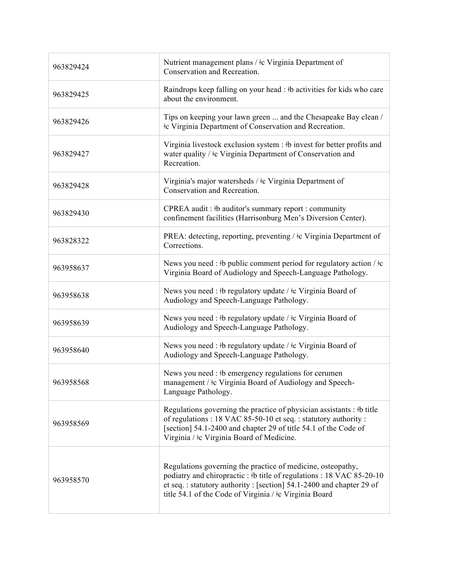| 963829424 | Nutrient management plans / $\pm c$ Virginia Department of<br>Conservation and Recreation.                                                                                                                                                                          |
|-----------|---------------------------------------------------------------------------------------------------------------------------------------------------------------------------------------------------------------------------------------------------------------------|
| 963829425 | Raindrops keep falling on your head : #b activities for kids who care<br>about the environment.                                                                                                                                                                     |
| 963829426 | Tips on keeping your lawn green  and the Chesapeake Bay clean /<br>te Virginia Department of Conservation and Recreation.                                                                                                                                           |
| 963829427 | Virginia livestock exclusion system : #b invest for better profits and<br>water quality / $\pm c$ Virginia Department of Conservation and<br>Recreation.                                                                                                            |
| 963829428 | Virginia's major watersheds / ‡c Virginia Department of<br>Conservation and Recreation.                                                                                                                                                                             |
| 963829430 | CPREA audit: #b auditor's summary report: community<br>confinement facilities (Harrisonburg Men's Diversion Center).                                                                                                                                                |
| 963828322 | PREA: detecting, reporting, preventing / ‡c Virginia Department of<br>Corrections.                                                                                                                                                                                  |
| 963958637 | News you need : #b public comment period for regulatory action / $\pm c$<br>Virginia Board of Audiology and Speech-Language Pathology.                                                                                                                              |
| 963958638 | News you need : #b regulatory update / #c Virginia Board of<br>Audiology and Speech-Language Pathology.                                                                                                                                                             |
| 963958639 | News you need : #b regulatory update / #c Virginia Board of<br>Audiology and Speech-Language Pathology.                                                                                                                                                             |
| 963958640 | News you need : #b regulatory update / #c Virginia Board of<br>Audiology and Speech-Language Pathology.                                                                                                                                                             |
| 963958568 | News you need : #b emergency regulations for cerumen<br>management / ‡c Virginia Board of Audiology and Speech-<br>Language Pathology.                                                                                                                              |
| 963958569 | Regulations governing the practice of physician assistants : #b title<br>of regulations : 18 VAC 85-50-10 et seq. : statutory authority :<br>[section] 54.1-2400 and chapter 29 of title 54.1 of the Code of<br>Virginia / ‡c Virginia Board of Medicine.           |
| 963958570 | Regulations governing the practice of medicine, osteopathy,<br>podiatry and chiropractic: #b title of regulations: 18 VAC 85-20-10<br>et seq.: statutory authority: [section] 54.1-2400 and chapter 29 of<br>title 54.1 of the Code of Virginia / ‡c Virginia Board |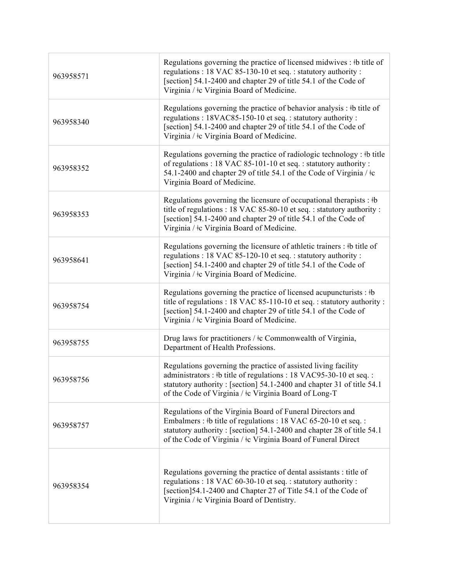| 963958571 | Regulations governing the practice of licensed midwives : #b title of<br>regulations: 18 VAC 85-130-10 et seq.: statutory authority:<br>[section] 54.1-2400 and chapter 29 of title 54.1 of the Code of<br>Virginia / ‡c Virginia Board of Medicine.                     |
|-----------|--------------------------------------------------------------------------------------------------------------------------------------------------------------------------------------------------------------------------------------------------------------------------|
| 963958340 | Regulations governing the practice of behavior analysis : #b title of<br>regulations: 18VAC85-150-10 et seq.: statutory authority:<br>[section] 54.1-2400 and chapter 29 of title 54.1 of the Code of<br>Virginia / $\pm c$ Virginia Board of Medicine.                  |
| 963958352 | Regulations governing the practice of radiologic technology : $\#$ b title<br>of regulations: 18 VAC 85-101-10 et seq.: statutory authority:<br>54.1-2400 and chapter 29 of title 54.1 of the Code of Virginia / $\frac{1}{2}$<br>Virginia Board of Medicine.            |
| 963958353 | Regulations governing the licensure of occupational therapists : $\n $ +b<br>title of regulations : 18 VAC 85-80-10 et seq. : statutory authority :<br>[section] 54.1-2400 and chapter 29 of title 54.1 of the Code of<br>Virginia / $\pm c$ Virginia Board of Medicine. |
| 963958641 | Regulations governing the licensure of athletic trainers : #b title of<br>regulations : 18 VAC 85-120-10 et seq. : statutory authority :<br>[section] 54.1-2400 and chapter 29 of title 54.1 of the Code of<br>Virginia / $\pm c$ Virginia Board of Medicine.            |
| 963958754 | Regulations governing the practice of licensed acupuncturists : $\mathcal{b}$<br>title of regulations : 18 VAC 85-110-10 et seq. : statutory authority :<br>[section] 54.1-2400 and chapter 29 of title 54.1 of the Code of<br>Virginia / ‡c Virginia Board of Medicine. |
| 963958755 | Drug laws for practitioners / ‡c Commonwealth of Virginia,<br>Department of Health Professions.                                                                                                                                                                          |
| 963958756 | Regulations governing the practice of assisted living facility<br>administrators : #b title of regulations : 18 VAC95-30-10 et seq. :<br>statutory authority: [section] 54.1-2400 and chapter 31 of title 54.1<br>of the Code of Virginia / ‡c Virginia Board of Long-T  |
| 963958757 | Regulations of the Virginia Board of Funeral Directors and<br>Embalmers : #b title of regulations : 18 VAC 65-20-10 et seq. :<br>statutory authority: [section] 54.1-2400 and chapter 28 of title 54.1<br>of the Code of Virginia / ‡c Virginia Board of Funeral Direct  |
| 963958354 | Regulations governing the practice of dental assistants : title of<br>regulations : 18 VAC 60-30-10 et seq. : statutory authority :<br>[section]54.1-2400 and Chapter 27 of Title 54.1 of the Code of<br>Virginia / $\pm c$ Virginia Board of Dentistry.                 |